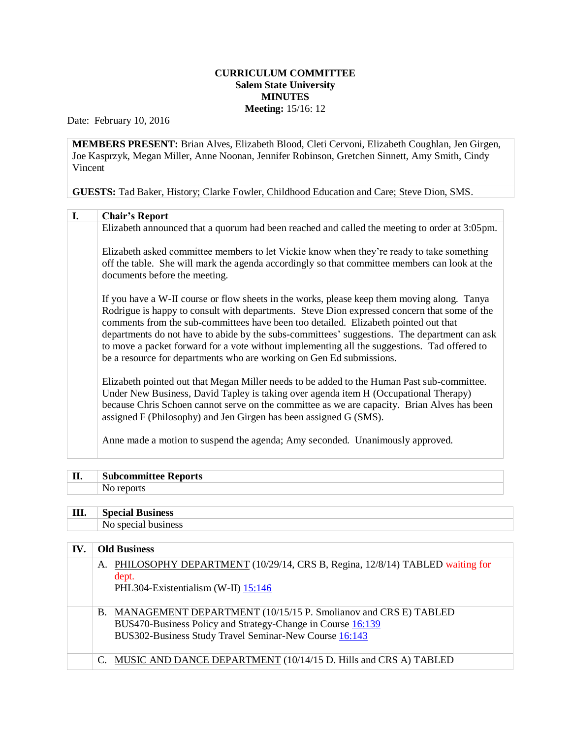## **CURRICULUM COMMITTEE Salem State University MINUTES Meeting:** 15/16: 12

Date: February 10, 2016

**MEMBERS PRESENT:** Brian Alves, Elizabeth Blood, Cleti Cervoni, Elizabeth Coughlan, Jen Girgen, Joe Kasprzyk, Megan Miller, Anne Noonan, Jennifer Robinson, Gretchen Sinnett, Amy Smith, Cindy Vincent

**GUESTS:** Tad Baker, History; Clarke Fowler, Childhood Education and Care; Steve Dion, SMS.

| I. | <b>Chair's Report</b>                                                                                                                                                                                                                                                                                                                                                                                                                                                                                                                                      |
|----|------------------------------------------------------------------------------------------------------------------------------------------------------------------------------------------------------------------------------------------------------------------------------------------------------------------------------------------------------------------------------------------------------------------------------------------------------------------------------------------------------------------------------------------------------------|
|    | Elizabeth announced that a quorum had been reached and called the meeting to order at 3:05pm.                                                                                                                                                                                                                                                                                                                                                                                                                                                              |
|    | Elizabeth asked committee members to let Vickie know when they're ready to take something<br>off the table. She will mark the agenda accordingly so that committee members can look at the<br>documents before the meeting.                                                                                                                                                                                                                                                                                                                                |
|    | If you have a W-II course or flow sheets in the works, please keep them moving along. Tanya<br>Rodrigue is happy to consult with departments. Steve Dion expressed concern that some of the<br>comments from the sub-committees have been too detailed. Elizabeth pointed out that<br>departments do not have to abide by the subs-committees' suggestions. The department can ask<br>to move a packet forward for a vote without implementing all the suggestions. Tad offered to<br>be a resource for departments who are working on Gen Ed submissions. |
|    | Elizabeth pointed out that Megan Miller needs to be added to the Human Past sub-committee.<br>Under New Business, David Tapley is taking over agenda item H (Occupational Therapy)<br>because Chris Schoen cannot serve on the committee as we are capacity. Brian Alves has been<br>assigned F (Philosophy) and Jen Girgen has been assigned G (SMS).                                                                                                                                                                                                     |
|    | Anne made a motion to suspend the agenda; Amy seconded. Unanimously approved.                                                                                                                                                                                                                                                                                                                                                                                                                                                                              |

| П.  | <b>Subcommittee Reports</b> |
|-----|-----------------------------|
|     | No reports                  |
|     |                             |
| Ш.  | <b>Special Business</b>     |
|     | No special business         |
|     |                             |
| IV. | <b>Old Business</b>         |

| A. PHILOSOPHY DEPARTMENT (10/29/14, CRS B, Regina, 12/8/14) TABLED waiting for<br>dept.<br>PHL304-Existentialism (W-II) 15:146                                                             |  |
|--------------------------------------------------------------------------------------------------------------------------------------------------------------------------------------------|--|
| B. MANAGEMENT DEPARTMENT (10/15/15 P. Smolianov and CRS E) TABLED<br>BUS470-Business Policy and Strategy-Change in Course 16:139<br>BUS302-Business Study Travel Seminar-New Course 16:143 |  |
| MUSIC AND DANCE DEPARTMENT (10/14/15 D. Hills and CRS A) TABLED                                                                                                                            |  |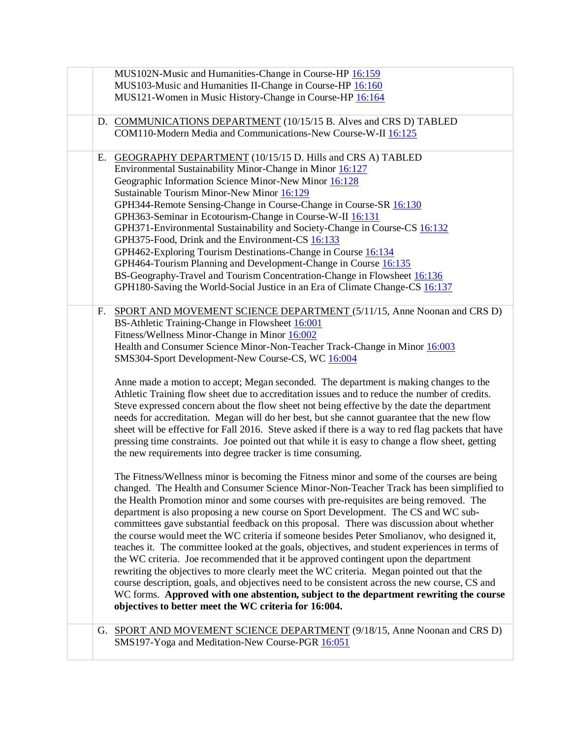|    | MUS102N-Music and Humanities-Change in Course-HP 16:159<br>MUS103-Music and Humanities II-Change in Course-HP 16:160<br>MUS121-Women in Music History-Change in Course-HP 16:164                                                                                                                                                                                                                                                                                                                                                                                                                                                                                                                                                                                                                                                                                                                                                                                                                                                                                                                                                                                                                                                                                                                                                                                                                                                                                                                                                                                                                                                                                                                                                                                                                                                                                                                                                                                                                                                                                                             |
|----|----------------------------------------------------------------------------------------------------------------------------------------------------------------------------------------------------------------------------------------------------------------------------------------------------------------------------------------------------------------------------------------------------------------------------------------------------------------------------------------------------------------------------------------------------------------------------------------------------------------------------------------------------------------------------------------------------------------------------------------------------------------------------------------------------------------------------------------------------------------------------------------------------------------------------------------------------------------------------------------------------------------------------------------------------------------------------------------------------------------------------------------------------------------------------------------------------------------------------------------------------------------------------------------------------------------------------------------------------------------------------------------------------------------------------------------------------------------------------------------------------------------------------------------------------------------------------------------------------------------------------------------------------------------------------------------------------------------------------------------------------------------------------------------------------------------------------------------------------------------------------------------------------------------------------------------------------------------------------------------------------------------------------------------------------------------------------------------------|
|    | D. COMMUNICATIONS DEPARTMENT (10/15/15 B. Alves and CRS D) TABLED<br>COM110-Modern Media and Communications-New Course-W-II 16:125                                                                                                                                                                                                                                                                                                                                                                                                                                                                                                                                                                                                                                                                                                                                                                                                                                                                                                                                                                                                                                                                                                                                                                                                                                                                                                                                                                                                                                                                                                                                                                                                                                                                                                                                                                                                                                                                                                                                                           |
| Е. | GEOGRAPHY DEPARTMENT (10/15/15 D. Hills and CRS A) TABLED<br>Environmental Sustainability Minor-Change in Minor 16:127<br>Geographic Information Science Minor-New Minor 16:128<br>Sustainable Tourism Minor-New Minor 16:129<br>GPH344-Remote Sensing-Change in Course-Change in Course-SR 16:130<br>GPH363-Seminar in Ecotourism-Change in Course-W-II 16:131<br>GPH371-Environmental Sustainability and Society-Change in Course-CS 16:132<br>GPH375-Food, Drink and the Environment-CS 16:133<br>GPH462-Exploring Tourism Destinations-Change in Course 16:134<br>GPH464-Tourism Planning and Development-Change in Course 16:135<br>BS-Geography-Travel and Tourism Concentration-Change in Flowsheet 16:136<br>GPH180-Saving the World-Social Justice in an Era of Climate Change-CS 16:137                                                                                                                                                                                                                                                                                                                                                                                                                                                                                                                                                                                                                                                                                                                                                                                                                                                                                                                                                                                                                                                                                                                                                                                                                                                                                            |
| F. | SPORT AND MOVEMENT SCIENCE DEPARTMENT (5/11/15, Anne Noonan and CRS D)<br>BS-Athletic Training-Change in Flowsheet 16:001<br>Fitness/Wellness Minor-Change in Minor 16:002<br>Health and Consumer Science Minor-Non-Teacher Track-Change in Minor 16:003<br>SMS304-Sport Development-New Course-CS, WC 16:004<br>Anne made a motion to accept; Megan seconded. The department is making changes to the<br>Athletic Training flow sheet due to accreditation issues and to reduce the number of credits.<br>Steve expressed concern about the flow sheet not being effective by the date the department<br>needs for accreditation. Megan will do her best, but she cannot guarantee that the new flow<br>sheet will be effective for Fall 2016. Steve asked if there is a way to red flag packets that have<br>pressing time constraints. Joe pointed out that while it is easy to change a flow sheet, getting<br>the new requirements into degree tracker is time consuming.<br>The Fitness/Wellness minor is becoming the Fitness minor and some of the courses are being<br>changed. The Health and Consumer Science Minor-Non-Teacher Track has been simplified to<br>the Health Promotion minor and some courses with pre-requisites are being removed. The<br>department is also proposing a new course on Sport Development. The CS and WC sub-<br>committees gave substantial feedback on this proposal. There was discussion about whether<br>the course would meet the WC criteria if someone besides Peter Smolianov, who designed it,<br>teaches it. The committee looked at the goals, objectives, and student experiences in terms of<br>the WC criteria. Joe recommended that it be approved contingent upon the department<br>rewriting the objectives to more clearly meet the WC criteria. Megan pointed out that the<br>course description, goals, and objectives need to be consistent across the new course, CS and<br>WC forms. Approved with one abstention, subject to the department rewriting the course<br>objectives to better meet the WC criteria for 16:004. |
|    | G. SPORT AND MOVEMENT SCIENCE DEPARTMENT (9/18/15, Anne Noonan and CRS D)<br>SMS197-Yoga and Meditation-New Course-PGR 16:051                                                                                                                                                                                                                                                                                                                                                                                                                                                                                                                                                                                                                                                                                                                                                                                                                                                                                                                                                                                                                                                                                                                                                                                                                                                                                                                                                                                                                                                                                                                                                                                                                                                                                                                                                                                                                                                                                                                                                                |